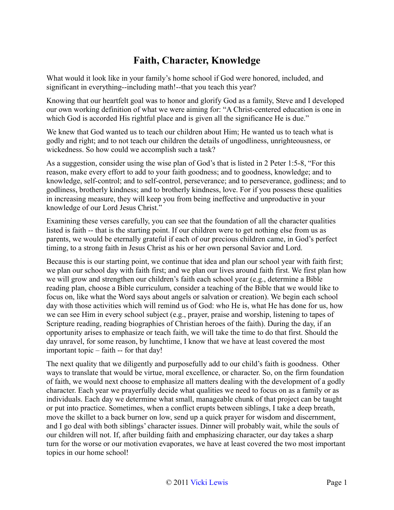## **Faith, Character, Knowledge**

What would it look like in your family's home school if God were honored, included, and significant in everything--including math!--that you teach this year?

Knowing that our heartfelt goal was to honor and glorify God as a family, Steve and I developed our own working definition of what we were aiming for: "A Christ-centered education is one in which God is accorded His rightful place and is given all the significance He is due."

We knew that God wanted us to teach our children about Him; He wanted us to teach what is godly and right; and to not teach our children the details of ungodliness, unrighteousness, or wickedness. So how could we accomplish such a task?

As a suggestion, consider using the wise plan of God's that is listed in 2 Peter 1:5-8, "For this reason, make every effort to add to your faith goodness; and to goodness, knowledge; and to knowledge, self-control; and to self-control, perseverance; and to perseverance, godliness; and to godliness, brotherly kindness; and to brotherly kindness, love. For if you possess these qualities in increasing measure, they will keep you from being ineffective and unproductive in your knowledge of our Lord Jesus Christ."

Examining these verses carefully, you can see that the foundation of all the character qualities listed is faith -- that is the starting point. If our children were to get nothing else from us as parents, we would be eternally grateful if each of our precious children came, in God's perfect timing, to a strong faith in Jesus Christ as his or her own personal Savior and Lord.

Because this is our starting point, we continue that idea and plan our school year with faith first; we plan our school day with faith first; and we plan our lives around faith first. We first plan how we will grow and strengthen our children's faith each school year (e.g., determine a Bible reading plan, choose a Bible curriculum, consider a teaching of the Bible that we would like to focus on, like what the Word says about angels or salvation or creation). We begin each school day with those activities which will remind us of God: who He is, what He has done for us, how we can see Him in every school subject (e.g., prayer, praise and worship, listening to tapes of Scripture reading, reading biographies of Christian heroes of the faith). During the day, if an opportunity arises to emphasize or teach faith, we will take the time to do that first. Should the day unravel, for some reason, by lunchtime, I know that we have at least covered the most important topic – faith -- for that day!

The next quality that we diligently and purposefully add to our child's faith is goodness. Other ways to translate that would be virtue, moral excellence, or character. So, on the firm foundation of faith, we would next choose to emphasize all matters dealing with the development of a godly character. Each year we prayerfully decide what qualities we need to focus on as a family or as individuals. Each day we determine what small, manageable chunk of that project can be taught or put into practice. Sometimes, when a conflict erupts between siblings, I take a deep breath, move the skillet to a back burner on low, send up a quick prayer for wisdom and discernment, and I go deal with both siblings' character issues. Dinner will probably wait, while the souls of our children will not. If, after building faith and emphasizing character, our day takes a sharp turn for the worse or our motivation evaporates, we have at least covered the two most important topics in our home school!